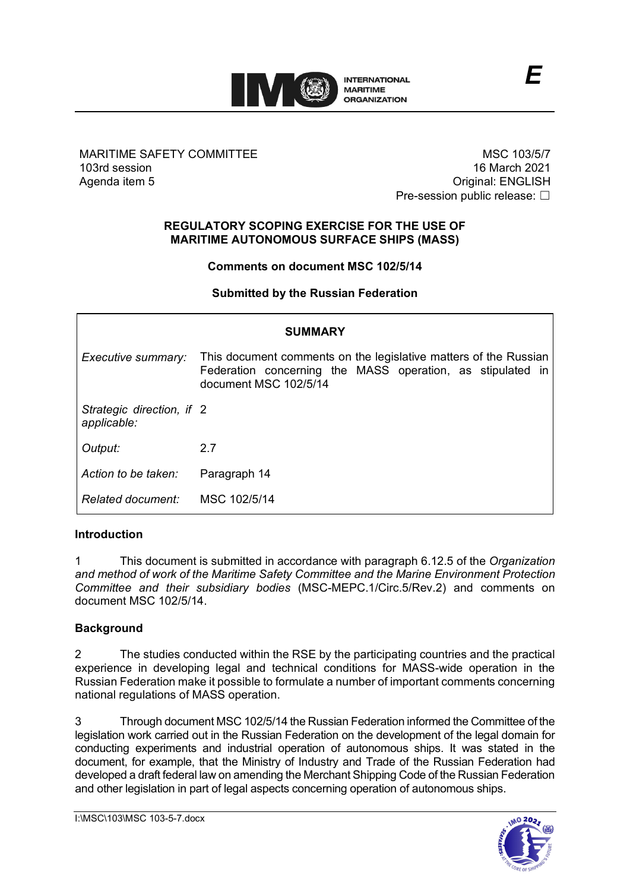

### MARITIME SAFETY COMMITTEE 103rd session Agenda item 5

MSC 103/5/7 16 March 2021 Original: ENGLISH Pre-session public release: □

*E*

### **REGULATORY SCOPING EXERCISE FOR THE USE OF MARITIME AUTONOMOUS SURFACE SHIPS (MASS)**

### **Comments on document MSC 102/5/14**

#### **Submitted by the Russian Federation**

| <b>SUMMARY</b>                           |                                                                                                                                                         |
|------------------------------------------|---------------------------------------------------------------------------------------------------------------------------------------------------------|
| Executive summary:                       | This document comments on the legislative matters of the Russian<br>Federation concerning the MASS operation, as stipulated in<br>document MSC 102/5/14 |
| Strategic direction, if 2<br>applicable: |                                                                                                                                                         |
| Output:                                  | 2.7                                                                                                                                                     |
| Action to be taken:                      | Paragraph 14                                                                                                                                            |
| Related document:                        | MSC 102/5/14                                                                                                                                            |

#### **Introduction**

1 This document is submitted in accordance with paragraph 6.12.5 of the *Organization and method of work of the Maritime Safety Committee and the Marine Environment Protection Committee and their subsidiary bodies* (MSC-MEPC.1/Circ.5/Rev.2) and comments on document MSC 102/5/14.

#### **Background**

2 The studies conducted within the RSE by the participating countries and the practical experience in developing legal and technical conditions for MASS-wide operation in the Russian Federation make it possible to formulate a number of important comments concerning national regulations of MASS operation.

3 Through document MSC 102/5/14 the Russian Federation informed the Committee of the legislation work carried out in the Russian Federation on the development of the legal domain for conducting experiments and industrial operation of autonomous ships. It was stated in the document, for example, that the Ministry of Industry and Trade of the Russian Federation had developed a draft federal law on amending the Merchant Shipping Code of the Russian Federation and other legislation in part of legal aspects concerning operation of autonomous ships.

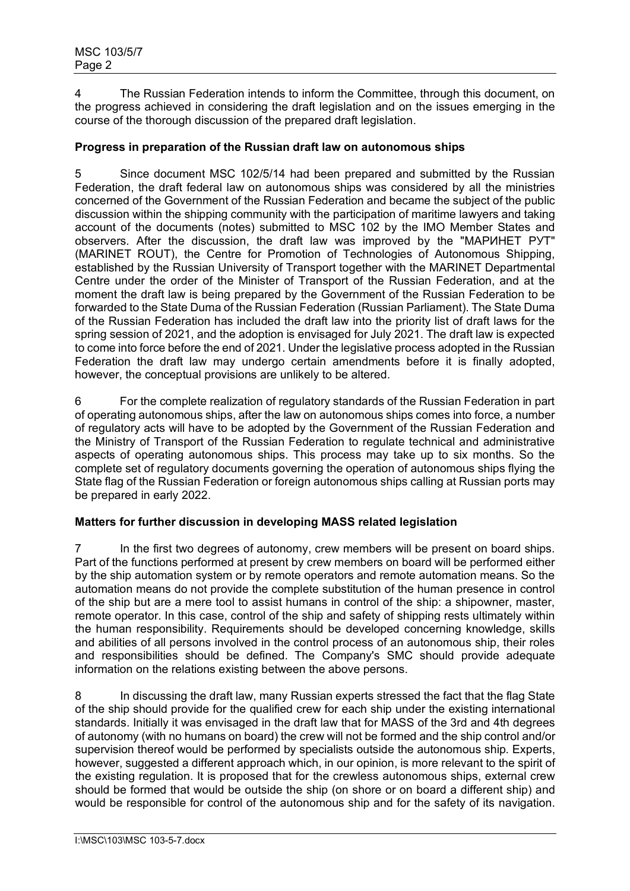4 The Russian Federation intends to inform the Committee, through this document, on the progress achieved in considering the draft legislation and on the issues emerging in the course of the thorough discussion of the prepared draft legislation.

### **Progress in preparation of the Russian draft law on autonomous ships**

5 Since document MSC 102/5/14 had been prepared and submitted by the Russian Federation, the draft federal law on autonomous ships was considered by all the ministries concerned of the Government of the Russian Federation and became the subject of the public discussion within the shipping community with the participation of maritime lawyers and taking account of the documents (notes) submitted to MSC 102 by the IMO Member States and observers. After the discussion, the draft law was improved by the "МАРИНЕТ РУТ" (MARINET ROUT), the Centre for Promotion of Technologies of Autonomous Shipping, established by the Russian University of Transport together with the MARINET Departmental Centre under the order of the Minister of Transport of the Russian Federation, and at the moment the draft law is being prepared by the Government of the Russian Federation to be forwarded to the State Duma of the Russian Federation (Russian Parliament). The State Duma of the Russian Federation has included the draft law into the priority list of draft laws for the spring session of 2021, and the adoption is envisaged for July 2021. The draft law is expected to come into force before the end of 2021. Under the legislative process adopted in the Russian Federation the draft law may undergo certain amendments before it is finally adopted, however, the conceptual provisions are unlikely to be altered.

6 For the complete realization of regulatory standards of the Russian Federation in part of operating autonomous ships, after the law on autonomous ships comes into force, a number of regulatory acts will have to be adopted by the Government of the Russian Federation and the Ministry of Transport of the Russian Federation to regulate technical and administrative aspects of operating autonomous ships. This process may take up to six months. So the complete set of regulatory documents governing the operation of autonomous ships flying the State flag of the Russian Federation or foreign autonomous ships calling at Russian ports may be prepared in early 2022.

# **Matters for further discussion in developing MASS related legislation**

7 In the first two degrees of autonomy, crew members will be present on board ships. Part of the functions performed at present by crew members on board will be performed either by the ship automation system or by remote operators and remote automation means. So the automation means do not provide the complete substitution of the human presence in control of the ship but are a mere tool to assist humans in control of the ship: a shipowner, master, remote operator. In this case, control of the ship and safety of shipping rests ultimately within the human responsibility. Requirements should be developed concerning knowledge, skills and abilities of all persons involved in the control process of an autonomous ship, their roles and responsibilities should be defined. The Company's SMC should provide adequate information on the relations existing between the above persons.

8 In discussing the draft law, many Russian experts stressed the fact that the flag State of the ship should provide for the qualified crew for each ship under the existing international standards. Initially it was envisaged in the draft law that for MASS of the 3rd and 4th degrees of autonomy (with no humans on board) the crew will not be formed and the ship control and/or supervision thereof would be performed by specialists outside the autonomous ship. Experts, however, suggested a different approach which, in our opinion, is more relevant to the spirit of the existing regulation. It is proposed that for the crewless autonomous ships, external crew should be formed that would be outside the ship (on shore or on board a different ship) and would be responsible for control of the autonomous ship and for the safety of its navigation.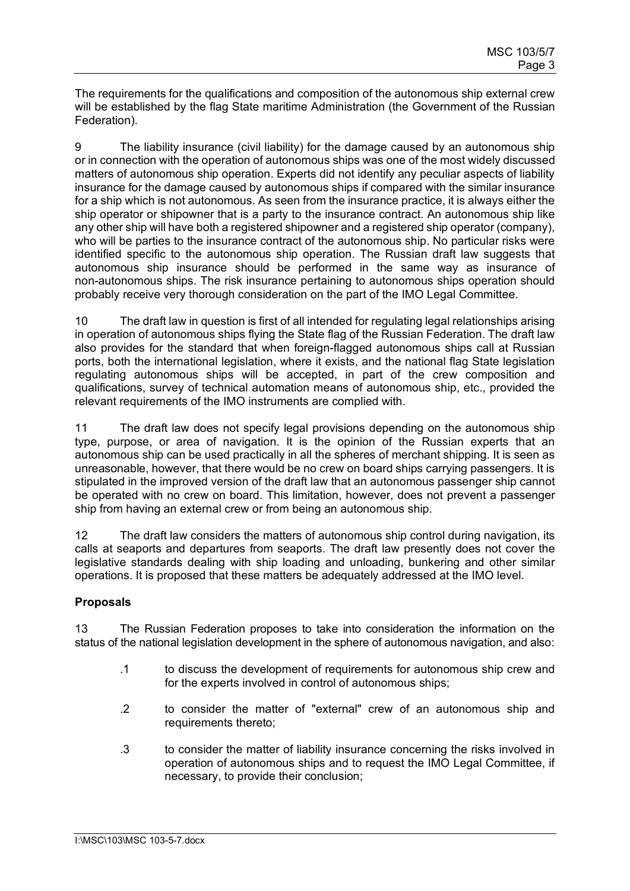The requirements for the qualifications and composition of the autonomous ship external crew will be established by the flag State maritime Administration (the Government of the Russian Federation).

9 The liability insurance (civil liability) for the damage caused by an autonomous ship or in connection with the operation of autonomous ships was one of the most widely discussed matters of autonomous ship operation. Experts did not identify any peculiar aspects of liability insurance for the damage caused by autonomous ships if compared with the similar insurance for a ship which is not autonomous. As seen from the insurance practice, it is always either the ship operator or shipowner that is a party to the insurance contract. An autonomous ship like any other ship will have both a registered shipowner and a registered ship operator (company), who will be parties to the insurance contract of the autonomous ship. No particular risks were identified specific to the autonomous ship operation. The Russian draft law suggests that autonomous ship insurance should be performed in the same way as insurance of non-autonomous ships. The risk insurance pertaining to autonomous ships operation should probably receive very thorough consideration on the part of the IMO Legal Committee.

10 The draft law in question is first of all intended for regulating legal relationships arising in operation of autonomous ships flying the State flag of the Russian Federation. The draft law also provides for the standard that when foreign-flagged autonomous ships call at Russian ports, both the international legislation, where it exists, and the national flag State legislation regulating autonomous ships will be accepted, in part of the crew composition and qualifications, survey of technical automation means of autonomous ship, etc., provided the relevant requirements of the IMO instruments are complied with.

11 The draft law does not specify legal provisions depending on the autonomous ship type, purpose, or area of navigation. It is the opinion of the Russian experts that an autonomous ship can be used practically in all the spheres of merchant shipping. It is seen as unreasonable, however, that there would be no crew on board ships carrying passengers. It is stipulated in the improved version of the draft law that an autonomous passenger ship cannot be operated with no crew on board. This limitation, however, does not prevent a passenger ship from having an external crew or from being an autonomous ship.

12 The draft law considers the matters of autonomous ship control during navigation, its calls at seaports and departures from seaports. The draft law presently does not cover the legislative standards dealing with ship loading and unloading, bunkering and other similar operations. It is proposed that these matters be adequately addressed at the IMO level.

# **Proposals**

13 The Russian Federation proposes to take into consideration the information on the status of the national legislation development in the sphere of autonomous navigation, and also:

- .1 to discuss the development of requirements for autonomous ship crew and for the experts involved in control of autonomous ships;
- .2 to consider the matter of "external" crew of an autonomous ship and requirements thereto;
- .3 to consider the matter of liability insurance concerning the risks involved in operation of autonomous ships and to request the IMO Legal Committee, if necessary, to provide their conclusion;